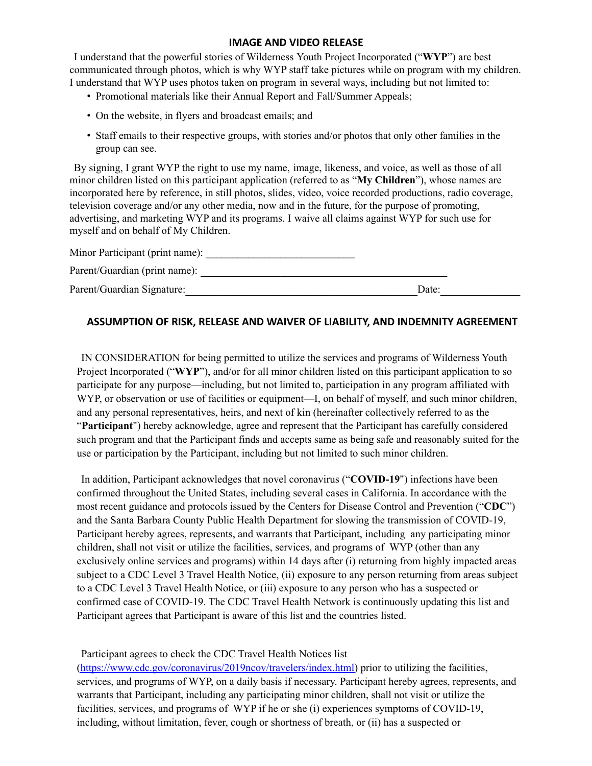## **IMAGE AND VIDEO RELEASE**

I understand that the powerful stories of Wilderness Youth Project Incorporated ("**WYP**") are best communicated through photos, which is why WYP staff take pictures while on program with my children. I understand that WYP uses photos taken on program in several ways, including but not limited to:

- Promotional materials like their Annual Report and Fall/Summer Appeals;
- On the website, in flyers and broadcast emails; and
- Staff emails to their respective groups, with stories and/or photos that only other families in the group can see.

By signing, I grant WYP the right to use my name, image, likeness, and voice, as well as those of all minor children listed on this participant application (referred to as "**My Children**"), whose names are incorporated here by reference, in still photos, slides, video, voice recorded productions, radio coverage, television coverage and/or any other media, now and in the future, for the purpose of promoting, advertising, and marketing WYP and its programs. I waive all claims against WYP for such use for myself and on behalf of My Children.

| Minor Participant (print name): |       |  |
|---------------------------------|-------|--|
| Parent/Guardian (print name):   |       |  |
| Parent/Guardian Signature:      | Date: |  |

## **ASSUMPTION OF RISK, RELEASE AND WAIVER OF LIABILITY, AND INDEMNITY AGREEMENT**

IN CONSIDERATION for being permitted to utilize the services and programs of Wilderness Youth Project Incorporated ("**WYP**"), and/or for all minor children listed on this participant application to so participate for any purpose—including, but not limited to, participation in any program affiliated with WYP, or observation or use of facilities or equipment—I, on behalf of myself, and such minor children, and any personal representatives, heirs, and next of kin (hereinafter collectively referred to as the "**Participant**") hereby acknowledge, agree and represent that the Participant has carefully considered such program and that the Participant finds and accepts same as being safe and reasonably suited for the use or participation by the Participant, including but not limited to such minor children.

In addition, Participant acknowledges that novel coronavirus ("**COVID-19**") infections have been confirmed throughout the United States, including several cases in California. In accordance with the most recent guidance and protocols issued by the Centers for Disease Control and Prevention ("**CDC**") and the Santa Barbara County Public Health Department for slowing the transmission of COVID-19, Participant hereby agrees, represents, and warrants that Participant, including any participating minor children, shall not visit or utilize the facilities, services, and programs of WYP (other than any exclusively online services and programs) within 14 days after (i) returning from highly impacted areas subject to a CDC Level 3 Travel Health Notice, (ii) exposure to any person returning from areas subject to a CDC Level 3 Travel Health Notice, or (iii) exposure to any person who has a suspected or confirmed case of COVID-19. The CDC Travel Health Network is continuously updating this list and Participant agrees that Participant is aware of this list and the countries listed.

## Participant agrees to check the CDC Travel Health Notices list

[\(https://www.cdc.gov/coronavirus/2019ncov/travelers/index.html\)](https://www.cdc.gov/coronavirus/2019-ncov/travelers/index.html) prior to utilizing the facilities, services, and programs of WYP, on a daily basis if necessary. Participant hereby agrees, represents, and warrants that Participant, including any participating minor children, shall not visit or utilize the facilities, services, and programs of WYP if he or she (i) experiences symptoms of COVID-19, including, without limitation, fever, cough or shortness of breath, or (ii) has a suspected or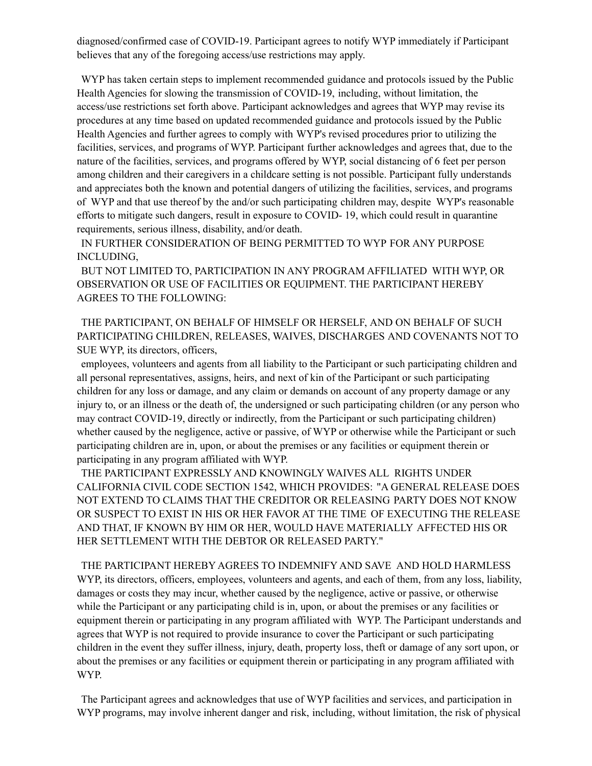diagnosed/confirmed case of COVID-19. Participant agrees to notify WYP immediately if Participant believes that any of the foregoing access/use restrictions may apply.

WYP has taken certain steps to implement recommended guidance and protocols issued by the Public Health Agencies for slowing the transmission of COVID-19, including, without limitation, the access/use restrictions set forth above. Participant acknowledges and agrees that WYP may revise its procedures at any time based on updated recommended guidance and protocols issued by the Public Health Agencies and further agrees to comply with WYP's revised procedures prior to utilizing the facilities, services, and programs of WYP. Participant further acknowledges and agrees that, due to the nature of the facilities, services, and programs offered by WYP, social distancing of 6 feet per person among children and their caregivers in a childcare setting is not possible. Participant fully understands and appreciates both the known and potential dangers of utilizing the facilities, services, and programs of WYP and that use thereof by the and/or such participating children may, despite WYP's reasonable efforts to mitigate such dangers, result in exposure to COVID- 19, which could result in quarantine requirements, serious illness, disability, and/or death.

IN FURTHER CONSIDERATION OF BEING PERMITTED TO WYP FOR ANY PURPOSE INCLUDING,

BUT NOT LIMITED TO, PARTICIPATION IN ANY PROGRAM AFFILIATED WITH WYP, OR OBSERVATION OR USE OF FACILITIES OR EQUIPMENT. THE PARTICIPANT HEREBY AGREES TO THE FOLLOWING:

THE PARTICIPANT, ON BEHALF OF HIMSELF OR HERSELF, AND ON BEHALF OF SUCH PARTICIPATING CHILDREN, RELEASES, WAIVES, DISCHARGES AND COVENANTS NOT TO SUE WYP, its directors, officers,

employees, volunteers and agents from all liability to the Participant or such participating children and all personal representatives, assigns, heirs, and next of kin of the Participant or such participating children for any loss or damage, and any claim or demands on account of any property damage or any injury to, or an illness or the death of, the undersigned or such participating children (or any person who may contract COVID-19, directly or indirectly, from the Participant or such participating children) whether caused by the negligence, active or passive, of WYP or otherwise while the Participant or such participating children are in, upon, or about the premises or any facilities or equipment therein or participating in any program affiliated with WYP.

THE PARTICIPANT EXPRESSLY AND KNOWINGLY WAIVES ALL RIGHTS UNDER CALIFORNIA CIVIL CODE SECTION 1542, WHICH PROVIDES: "A GENERAL RELEASE DOES NOT EXTEND TO CLAIMS THAT THE CREDITOR OR RELEASING PARTY DOES NOT KNOW OR SUSPECT TO EXIST IN HIS OR HER FAVOR AT THE TIME OF EXECUTING THE RELEASE AND THAT, IF KNOWN BY HIM OR HER, WOULD HAVE MATERIALLY AFFECTED HIS OR HER SETTLEMENT WITH THE DEBTOR OR RELEASED PARTY."

THE PARTICIPANT HEREBY AGREES TO INDEMNIFY AND SAVE AND HOLD HARMLESS WYP, its directors, officers, employees, volunteers and agents, and each of them, from any loss, liability, damages or costs they may incur, whether caused by the negligence, active or passive, or otherwise while the Participant or any participating child is in, upon, or about the premises or any facilities or equipment therein or participating in any program affiliated with WYP. The Participant understands and agrees that WYP is not required to provide insurance to cover the Participant or such participating children in the event they suffer illness, injury, death, property loss, theft or damage of any sort upon, or about the premises or any facilities or equipment therein or participating in any program affiliated with WYP.

The Participant agrees and acknowledges that use of WYP facilities and services, and participation in WYP programs, may involve inherent danger and risk, including, without limitation, the risk of physical